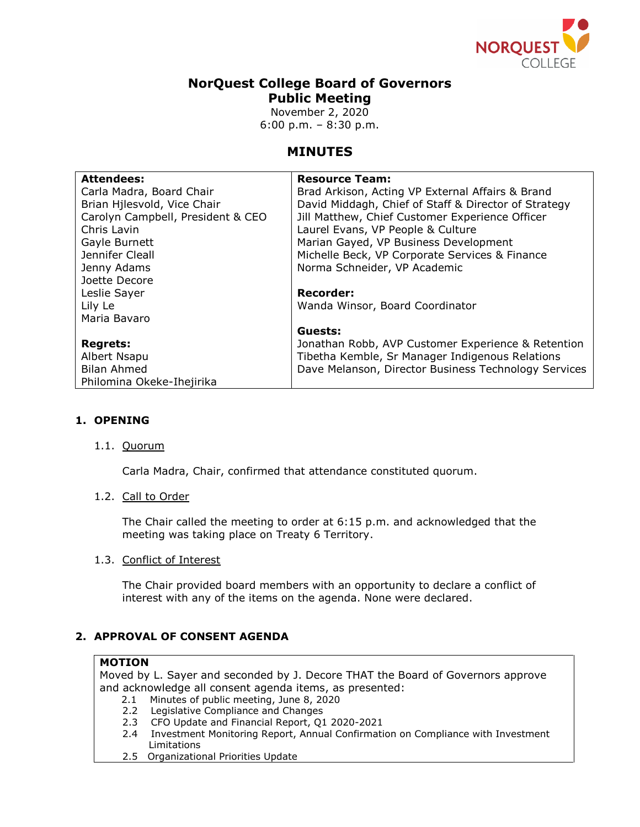

# **NorQuest College Board of Governors Public Meeting**

November 2, 2020 6:00 p.m. – 8:30 p.m.

# **MINUTES**

| <b>Attendees:</b>                 | <b>Resource Team:</b>                                |
|-----------------------------------|------------------------------------------------------|
| Carla Madra, Board Chair          | Brad Arkison, Acting VP External Affairs & Brand     |
| Brian Hilesvold, Vice Chair       | David Middagh, Chief of Staff & Director of Strategy |
| Carolyn Campbell, President & CEO | Jill Matthew, Chief Customer Experience Officer      |
| Chris Lavin                       | Laurel Evans, VP People & Culture                    |
| Gayle Burnett                     | Marian Gayed, VP Business Development                |
| Jennifer Cleall                   | Michelle Beck, VP Corporate Services & Finance       |
| Jenny Adams                       | Norma Schneider, VP Academic                         |
| Joette Decore                     |                                                      |
| Leslie Sayer                      | <b>Recorder:</b>                                     |
| Lily Le                           | Wanda Winsor, Board Coordinator                      |
| Maria Bavaro                      |                                                      |
|                                   | Guests:                                              |
| <b>Regrets:</b>                   | Jonathan Robb, AVP Customer Experience & Retention   |
| Albert Nsapu                      | Tibetha Kemble, Sr Manager Indigenous Relations      |
| <b>Bilan Ahmed</b>                | Dave Melanson, Director Business Technology Services |
| Philomina Okeke-Ihejirika         |                                                      |

# **1. OPENING**

# 1.1. Quorum

Carla Madra, Chair, confirmed that attendance constituted quorum.

# 1.2. Call to Order

The Chair called the meeting to order at 6:15 p.m. and acknowledged that the meeting was taking place on Treaty 6 Territory.

# 1.3. Conflict of Interest

The Chair provided board members with an opportunity to declare a conflict of interest with any of the items on the agenda. None were declared.

# **2. APPROVAL OF CONSENT AGENDA**

## **MOTION**

Moved by L. Sayer and seconded by J. Decore THAT the Board of Governors approve and acknowledge all consent agenda items, as presented:

- 2.1 Minutes of public meeting, June 8, 2020
- 2.2 Legislative Compliance and Changes
- 2.3 CFO Update and Financial Report, Q1 2020-2021
- 2.4 Investment Monitoring Report, Annual Confirmation on Compliance with Investment Limitations
- 2.5 Organizational Priorities Update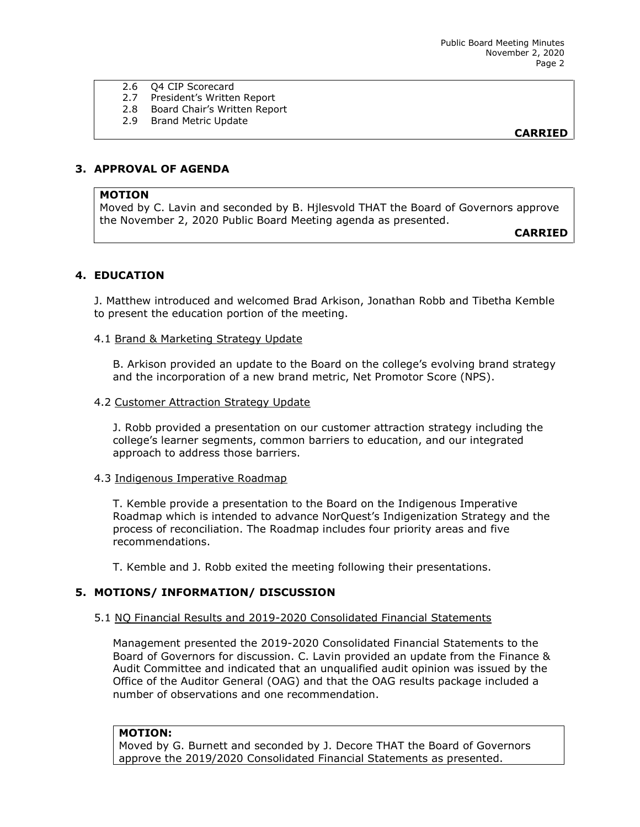- 2.6 Q4 CIP Scorecard
	- 2.7 President's Written Report
- 2.8 Board Chair's Written Report
- 2.9 Brand Metric Update

**CARRIED**

# **3. APPROVAL OF AGENDA**

### **MOTION**

Moved by C. Lavin and seconded by B. Hjlesvold THAT the Board of Governors approve the November 2, 2020 Public Board Meeting agenda as presented.

**CARRIED**

# **4. EDUCATION**

J. Matthew introduced and welcomed Brad Arkison, Jonathan Robb and Tibetha Kemble to present the education portion of the meeting.

### 4.1 Brand & Marketing Strategy Update

B. Arkison provided an update to the Board on the college's evolving brand strategy and the incorporation of a new brand metric, Net Promotor Score (NPS).

## 4.2 Customer Attraction Strategy Update

J. Robb provided a presentation on our customer attraction strategy including the college's learner segments, common barriers to education, and our integrated approach to address those barriers.

### 4.3 Indigenous Imperative Roadmap

T. Kemble provide a presentation to the Board on the Indigenous Imperative Roadmap which is intended to advance NorQuest's Indigenization Strategy and the process of reconciliation. The Roadmap includes four priority areas and five recommendations.

T. Kemble and J. Robb exited the meeting following their presentations.

# **5. MOTIONS/ INFORMATION/ DISCUSSION**

### 5.1 NQ Financial Results and 2019-2020 Consolidated Financial Statements

Management presented the 2019-2020 Consolidated Financial Statements to the Board of Governors for discussion. C. Lavin provided an update from the Finance & Audit Committee and indicated that an unqualified audit opinion was issued by the Office of the Auditor General (OAG) and that the OAG results package included a number of observations and one recommendation.

### **MOTION:**

Moved by G. Burnett and seconded by J. Decore THAT the Board of Governors approve the 2019/2020 Consolidated Financial Statements as presented.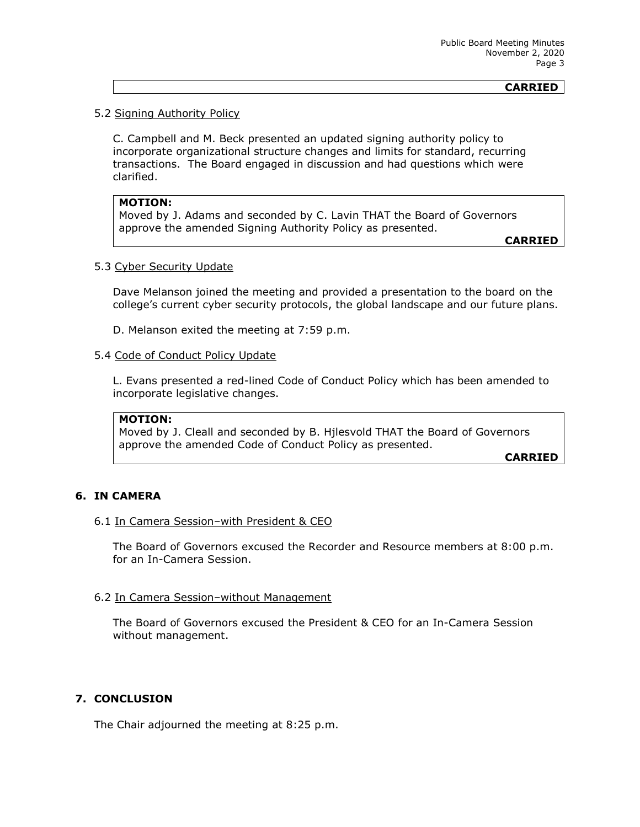### **CARRIED**

### 5.2 Signing Authority Policy

C. Campbell and M. Beck presented an updated signing authority policy to incorporate organizational structure changes and limits for standard, recurring transactions. The Board engaged in discussion and had questions which were clarified.

#### **MOTION:**

Moved by J. Adams and seconded by C. Lavin THAT the Board of Governors approve the amended Signing Authority Policy as presented.

**CARRIED**

## 5.3 Cyber Security Update

Dave Melanson joined the meeting and provided a presentation to the board on the college's current cyber security protocols, the global landscape and our future plans.

D. Melanson exited the meeting at 7:59 p.m.

#### 5.4 Code of Conduct Policy Update

L. Evans presented a red-lined Code of Conduct Policy which has been amended to incorporate legislative changes.

#### **MOTION:**

Moved by J. Cleall and seconded by B. Hjlesvold THAT the Board of Governors approve the amended Code of Conduct Policy as presented.

**CARRIED**

## **6. IN CAMERA**

#### 6.1 In Camera Session–with President & CEO

The Board of Governors excused the Recorder and Resource members at 8:00 p.m. for an In-Camera Session.

### 6.2 In Camera Session–without Management

The Board of Governors excused the President & CEO for an In-Camera Session without management.

#### **7. CONCLUSION**

The Chair adjourned the meeting at 8:25 p.m.